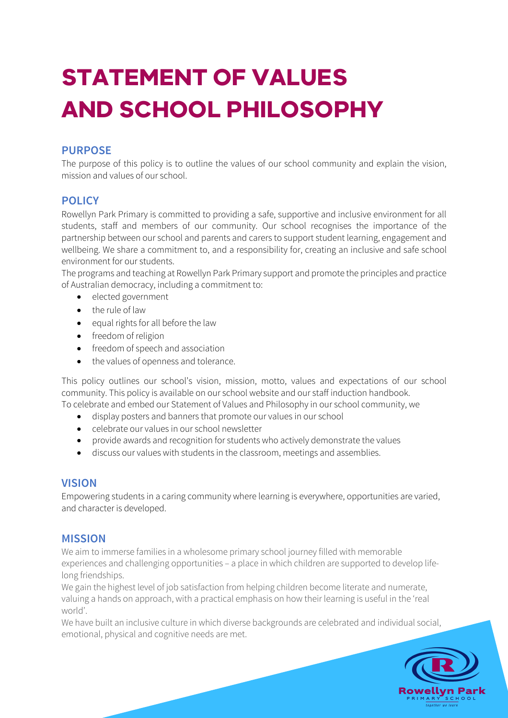# **STATEMENT OF VALUES AND SCHOOL PHILOSOPHY**

# **PURPOSE**

The purpose of this policy is to outline the values of our school community and explain the vision, mission and values of our school.

# **POLICY**

Rowellyn Park Primary is committed to providing a safe, supportive and inclusive environment for all students, staff and members of our community. Our school recognises the importance of the partnership between our school and parents and carers to support student learning, engagement and wellbeing. We share a commitment to, and a responsibility for, creating an inclusive and safe school environment for our students.

The programs and teaching at Rowellyn Park Primary support and promote the principles and practice of Australian democracy, including a commitment to:

- elected government
- the rule of law
- equal rights for all before the law
- freedom of religion
- freedom of speech and association
- the values of openness and tolerance.

This policy outlines our school's vision, mission, motto, values and expectations of our school community. This policy is available on our school website and our staff induction handbook. To celebrate and embed our Statement of Values and Philosophy in our school community, we

- display posters and banners that promote our values in our school
- celebrate our values in our school newsletter
- provide awards and recognition for students who actively demonstrate the values
- discuss our values with students in the classroom, meetings and assemblies.

#### **VISION**

Empowering students in a caring community where learning is everywhere, opportunities are varied, and character is developed.

## **MISSION**

We aim to immerse families in a wholesome primary school journey filled with memorable experiences and challenging opportunities – a place in which children are supported to develop lifelong friendships.

We gain the highest level of job satisfaction from helping children become literate and numerate, valuing a hands on approach, with a practical emphasis on how their learning is useful in the 'real world'.

We have built an inclusive culture in which diverse backgrounds are celebrated and individual social, emotional, physical and cognitive needs are met.

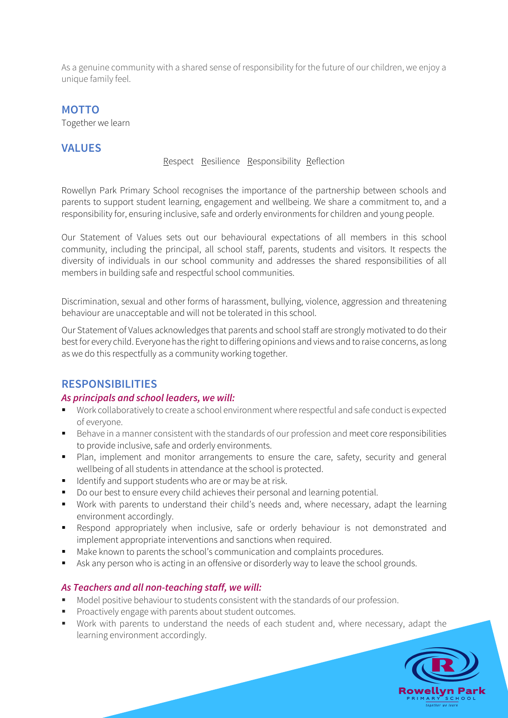As a genuine community with a shared sense of responsibility for the future of our children, we enjoy a unique family feel.

### **MOTTO**

Together we learn

## **VALUES**

Respect Resilience Responsibility Reflection

Rowellyn Park Primary School recognises the importance of the partnership between schools and parents to support student learning, engagement and wellbeing. We share a commitment to, and a responsibility for, ensuring inclusive, safe and orderly environments for children and young people.

Our Statement of Values sets out our behavioural expectations of all members in this school community, including the principal, all school staff, parents, students and visitors. It respects the diversity of individuals in our school community and addresses the shared responsibilities of all members in building safe and respectful school communities.

Discrimination, sexual and other forms of harassment, bullying, violence, aggression and threatening behaviour are unacceptable and will not be tolerated in this school.

Our Statement of Values acknowledges that parents and school staff are strongly motivated to do their best for every child. Everyone has the right to differing opinions and views and to raise concerns, as long as we do this respectfully as a community working together.

# **RESPONSIBILITIES**

#### *As principals and school leaders, we will:*

- § Work collaboratively to create a school environment where respectful and safe conduct is expected of everyone.
- Behave in a manner consistent with the standards of our profession and meet core responsibilities to provide inclusive, safe and orderly environments.
- Plan, implement and monitor arrangements to ensure the care, safety, security and general wellbeing of all students in attendance at the school is protected.
- Identify and support students who are or may be at risk.
- Do our best to ensure every child achieves their personal and learning potential.
- Work with parents to understand their child's needs and, where necessary, adapt the learning environment accordingly.
- § Respond appropriately when inclusive, safe or orderly behaviour is not demonstrated and implement appropriate interventions and sanctions when required.
- Make known to parents the school's communication and complaints procedures.
- Ask any person who is acting in an offensive or disorderly way to leave the school grounds.

#### *As Teachers and all non-teaching staff, we will:*

- Model positive behaviour to students consistent with the standards of our profession.
- § Proactively engage with parents about student outcomes.
- Work with parents to understand the needs of each student and, where necessary, adapt the learning environment accordingly.

**Rowellyn Park** together we learn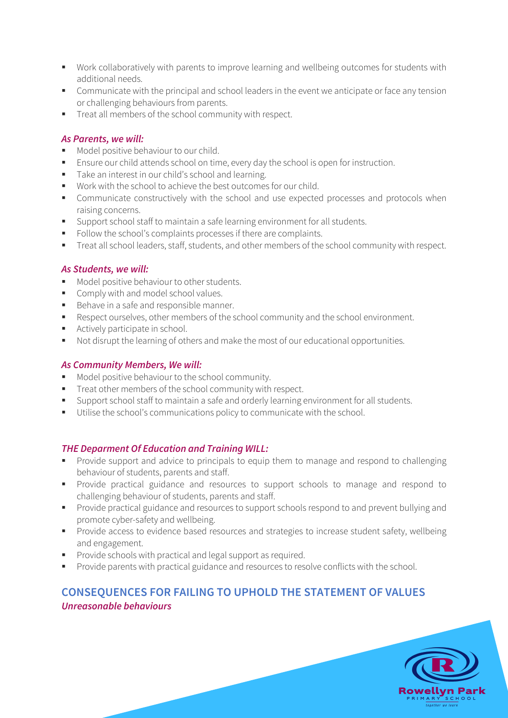- Work collaboratively with parents to improve learning and wellbeing outcomes for students with additional needs.
- Communicate with the principal and school leaders in the event we anticipate or face any tension or challenging behaviours from parents.
- Treat all members of the school community with respect.

#### *As Parents, we will:*

- Model positive behaviour to our child.
- Ensure our child attends school on time, every day the school is open for instruction.
- Take an interest in our child's school and learning.
- Work with the school to achieve the best outcomes for our child.
- Communicate constructively with the school and use expected processes and protocols when raising concerns.
- Support school staff to maintain a safe learning environment for all students.
- Follow the school's complaints processes if there are complaints.
- § Treat all school leaders, staff, students, and other members of the school community with respect.

#### *As Students, we will:*

- Model positive behaviour to other students.
- Comply with and model school values.
- Behave in a safe and responsible manner.
- Respect ourselves, other members of the school community and the school environment.
- **•** Actively participate in school.
- Not disrupt the learning of others and make the most of our educational opportunities.

#### *As Community Members, We will:*

- Model positive behaviour to the school community.
- Treat other members of the school community with respect.
- § Support school staff to maintain a safe and orderly learning environment for all students.
- Utilise the school's communications policy to communicate with the school.

#### *THE Deparment Of Education and Training WILL:*

- § Provide support and advice to principals to equip them to manage and respond to challenging behaviour of students, parents and staff.
- § Provide practical guidance and resources to support schools to manage and respond to challenging behaviour of students, parents and staff.
- § Provide practical guidance and resources to support schools respond to and prevent bullying and promote cyber-safety and wellbeing.
- **•** Provide access to evidence based resources and strategies to increase student safety, wellbeing and engagement.
- **•** Provide schools with practical and legal support as required.
- Provide parents with practical guidance and resources to resolve conflicts with the school.

# **CONSEQUENCES FOR FAILING TO UPHOLD THE STATEMENT OF VALUES** *Unreasonable behaviours*